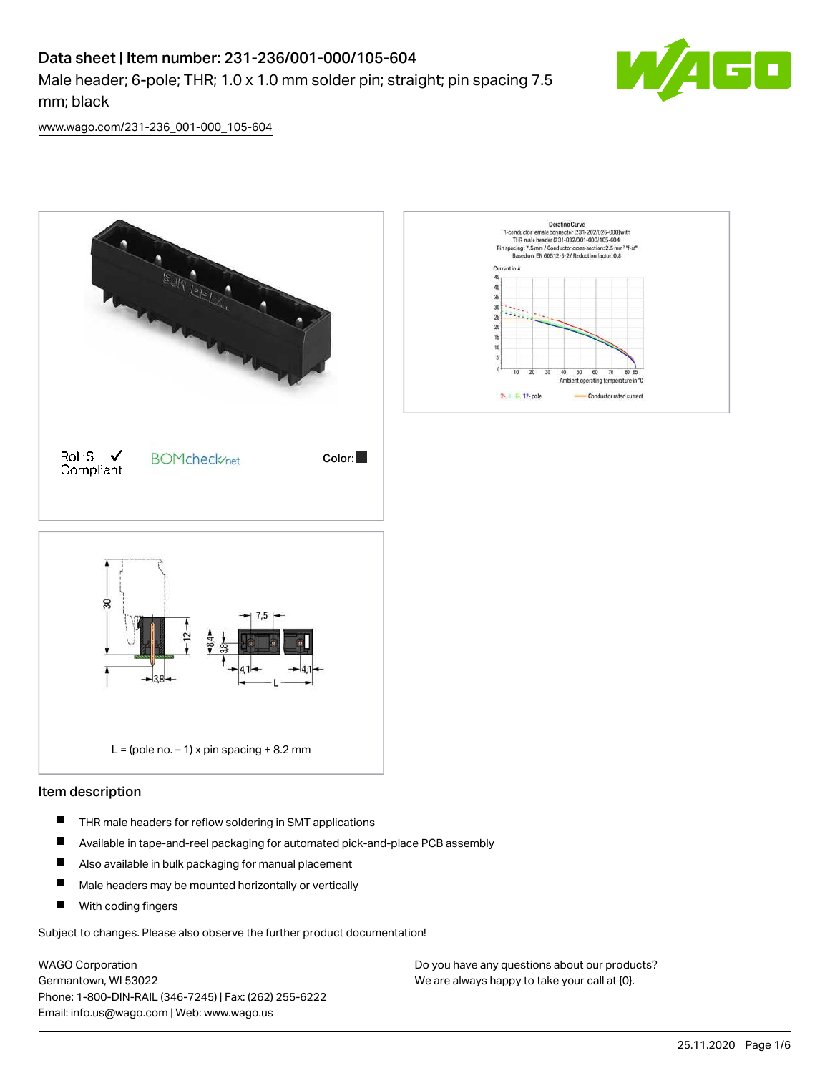### Data sheet | Item number: 231-236/001-000/105-604

Male header; 6-pole; THR; 1.0 x 1.0 mm solder pin; straight; pin spacing 7.5 mm; black



[www.wago.com/231-236\\_001-000\\_105-604](http://www.wago.com/231-236_001-000_105-604)



#### Item description

- $\blacksquare$ THR male headers for reflow soldering in SMT applications
- $\blacksquare$ Available in tape-and-reel packaging for automated pick-and-place PCB assembly
- $\blacksquare$ Also available in bulk packaging for manual placement
- П Male headers may be mounted horizontally or vertically
- П With coding fingers

Subject to changes. Please also observe the further product documentation!

WAGO Corporation Germantown, WI 53022 Phone: 1-800-DIN-RAIL (346-7245) | Fax: (262) 255-6222 Email: info.us@wago.com | Web: www.wago.us

Do you have any questions about our products? We are always happy to take your call at {0}.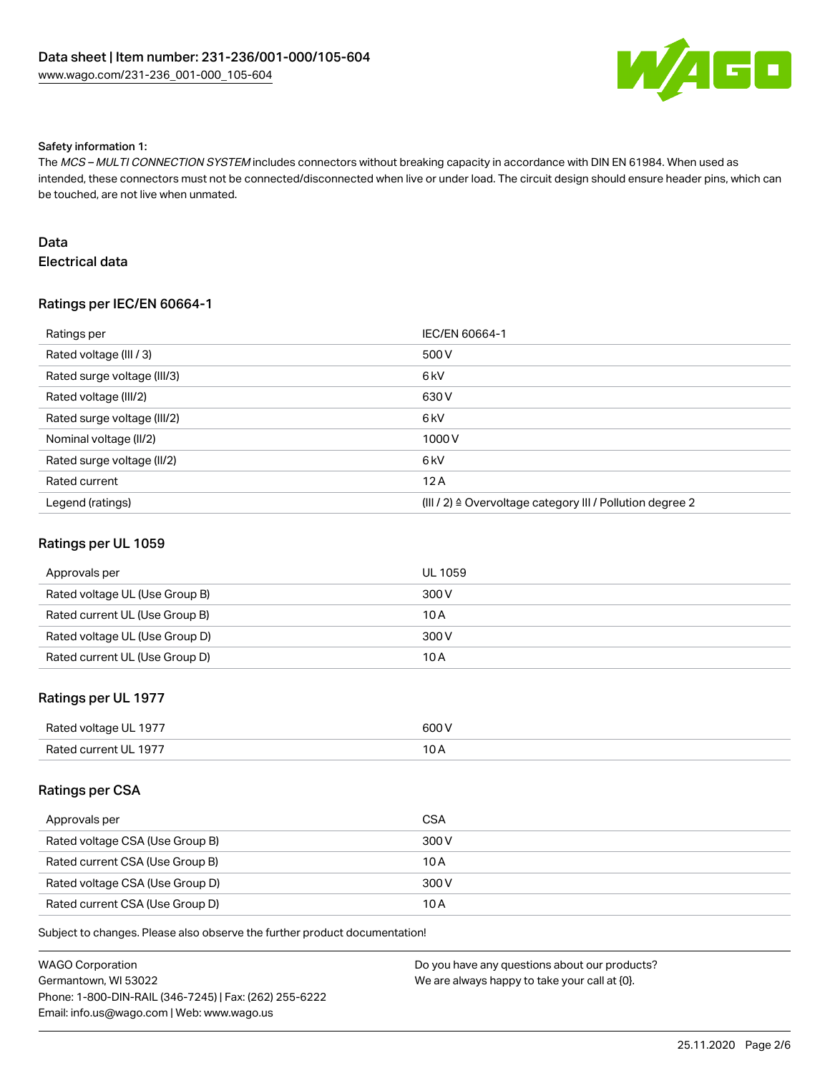

#### Safety information 1:

The MCS - MULTI CONNECTION SYSTEM includes connectors without breaking capacity in accordance with DIN EN 61984. When used as intended, these connectors must not be connected/disconnected when live or under load. The circuit design should ensure header pins, which can be touched, are not live when unmated.

#### Data Electrical data

#### Ratings per IEC/EN 60664-1

| Ratings per                 | IEC/EN 60664-1                                                        |
|-----------------------------|-----------------------------------------------------------------------|
| Rated voltage (III / 3)     | 500 V                                                                 |
| Rated surge voltage (III/3) | 6 <sub>k</sub> V                                                      |
| Rated voltage (III/2)       | 630 V                                                                 |
| Rated surge voltage (III/2) | 6 <sub>k</sub> V                                                      |
| Nominal voltage (II/2)      | 1000 V                                                                |
| Rated surge voltage (II/2)  | 6 <sub>k</sub> V                                                      |
| Rated current               | 12A                                                                   |
| Legend (ratings)            | $(III / 2)$ $\triangle$ Overvoltage category III / Pollution degree 2 |

#### Ratings per UL 1059

| Approvals per                  | UL 1059 |
|--------------------------------|---------|
| Rated voltage UL (Use Group B) | 300 V   |
| Rated current UL (Use Group B) | 10 A    |
| Rated voltage UL (Use Group D) | 300 V   |
| Rated current UL (Use Group D) | 10 A    |

#### Ratings per UL 1977

| Rated voltage UL 1977 | 600 V |
|-----------------------|-------|
| Rated current UL 1977 |       |

#### Ratings per CSA

| Approvals per                   | CSA   |
|---------------------------------|-------|
| Rated voltage CSA (Use Group B) | 300 V |
| Rated current CSA (Use Group B) | 10 A  |
| Rated voltage CSA (Use Group D) | 300 V |
| Rated current CSA (Use Group D) | 10 A  |

| <b>WAGO Corporation</b>                                | Do you have any questions about our products? |
|--------------------------------------------------------|-----------------------------------------------|
| Germantown, WI 53022                                   | We are always happy to take your call at {0}. |
| Phone: 1-800-DIN-RAIL (346-7245)   Fax: (262) 255-6222 |                                               |
| Email: info.us@wago.com   Web: www.wago.us             |                                               |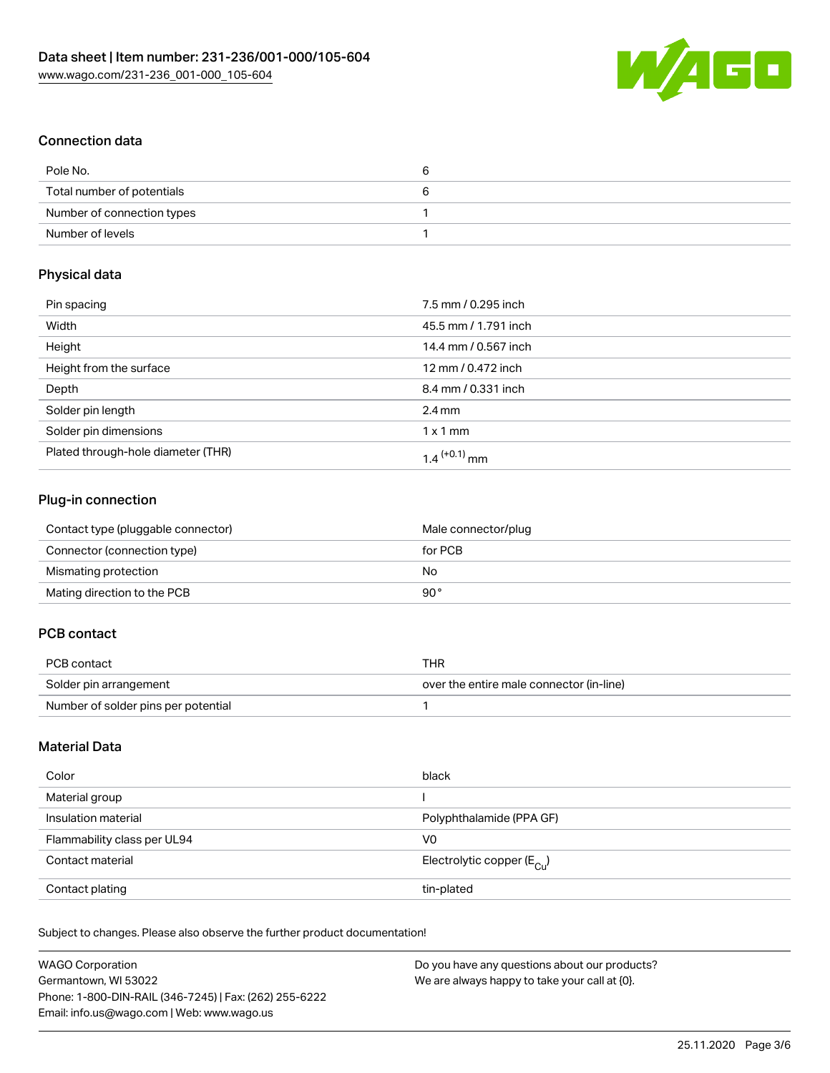

#### Connection data

| Pole No.                   | o |
|----------------------------|---|
| Total number of potentials |   |
| Number of connection types |   |
| Number of levels           |   |

#### Physical data

| Pin spacing                        | 7.5 mm / 0.295 inch        |
|------------------------------------|----------------------------|
| Width                              | 45.5 mm / 1.791 inch       |
| Height                             | 14.4 mm / 0.567 inch       |
| Height from the surface            | 12 mm / 0.472 inch         |
| Depth                              | 8.4 mm / 0.331 inch        |
| Solder pin length                  | $2.4 \text{ mm}$           |
| Solder pin dimensions              | $1 \times 1$ mm            |
| Plated through-hole diameter (THR) | $1.4$ <sup>(+0.1)</sup> mm |

#### Plug-in connection

| Contact type (pluggable connector) | Male connector/plug |
|------------------------------------|---------------------|
| Connector (connection type)        | for PCB             |
| Mismating protection               | No.                 |
| Mating direction to the PCB        | 90°                 |

#### PCB contact

| PCB contact                         | THR                                      |
|-------------------------------------|------------------------------------------|
| Solder pin arrangement              | over the entire male connector (in-line) |
| Number of solder pins per potential |                                          |

#### Material Data

| Color                       | black                                   |
|-----------------------------|-----------------------------------------|
| Material group              |                                         |
| Insulation material         | Polyphthalamide (PPA GF)                |
| Flammability class per UL94 | V <sub>0</sub>                          |
| Contact material            | Electrolytic copper ( $E_{\text{Cl}}$ ) |
| Contact plating             | tin-plated                              |

| <b>WAGO Corporation</b>                                | Do you have any questions about our products? |
|--------------------------------------------------------|-----------------------------------------------|
| Germantown, WI 53022                                   | We are always happy to take your call at {0}. |
| Phone: 1-800-DIN-RAIL (346-7245)   Fax: (262) 255-6222 |                                               |
| Email: info.us@wago.com   Web: www.wago.us             |                                               |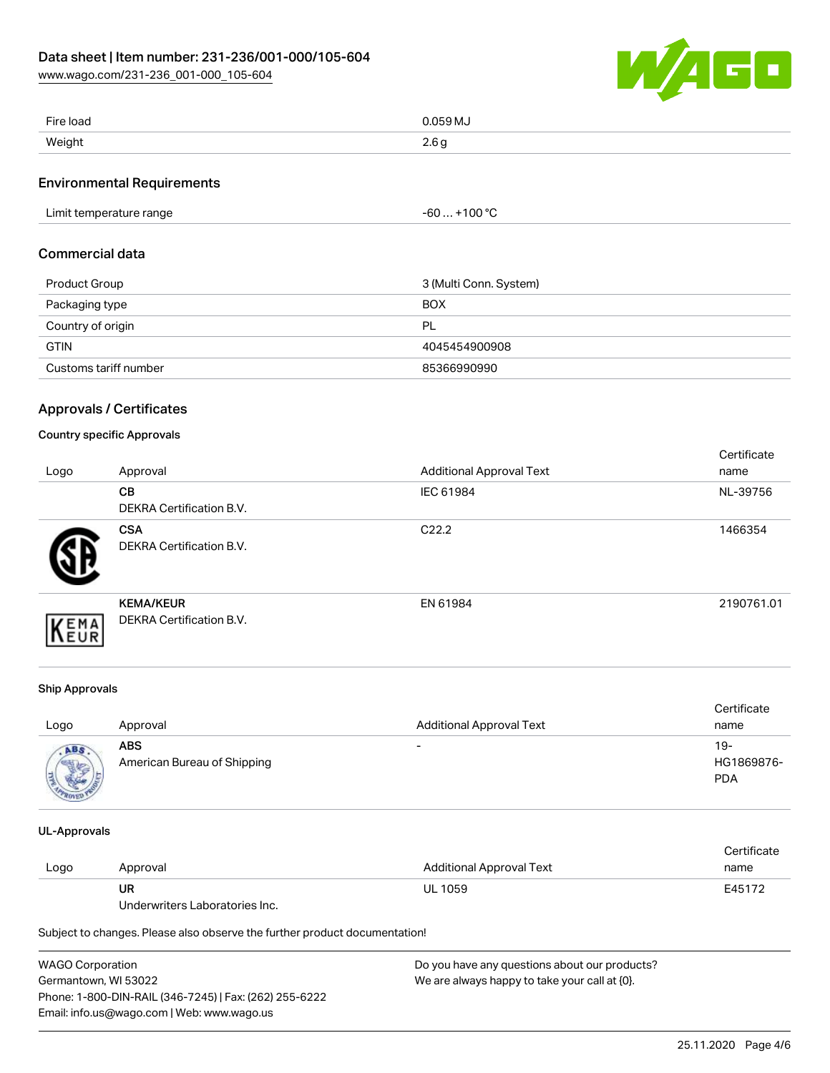

| Fire load | 0.059 MJ                         |
|-----------|----------------------------------|
| .         | .                                |
| Weight    | $\Omega$ $\Omega$ $\sim$<br>z.vy |

#### Environmental Requirements

| Limit temperature range | .1000<br>-60<br>טוי - |  |
|-------------------------|-----------------------|--|
|-------------------------|-----------------------|--|

#### Commercial data

| Product Group         | 3 (Multi Conn. System) |
|-----------------------|------------------------|
| Packaging type        | <b>BOX</b>             |
| Country of origin     | PL                     |
| <b>GTIN</b>           | 4045454900908          |
| Customs tariff number | 85366990990            |

#### Approvals / Certificates

#### Country specific Approvals

| Logo | Approval                                      | <b>Additional Approval Text</b> | Certificate<br>name |
|------|-----------------------------------------------|---------------------------------|---------------------|
|      | <b>CB</b><br>DEKRA Certification B.V.         | IEC 61984                       | NL-39756            |
|      | <b>CSA</b><br><b>DEKRA Certification B.V.</b> | C <sub>22.2</sub>               | 1466354             |
| EMA  | <b>KEMA/KEUR</b><br>DEKRA Certification B.V.  | EN 61984                        | 2190761.01          |

#### Ship Approvals

| Logo | Approval                                  | <b>Additional Approval Text</b> | Certificate<br>name             |
|------|-------------------------------------------|---------------------------------|---------------------------------|
| ABS  | <b>ABS</b><br>American Bureau of Shipping | $\overline{\phantom{0}}$        | 19-<br>HG1869876-<br><b>PDA</b> |

#### UL-Approvals

|      |          |                          | Certificate |
|------|----------|--------------------------|-------------|
| Logo | Approval | Additional Approval Text | name        |
|      | UR       | <b>UL 1059</b>           | E45172      |

Underwriters Laboratories Inc.

| <b>WAGO Corporation</b>                                | Do you have any questions about our products? |
|--------------------------------------------------------|-----------------------------------------------|
| Germantown, WI 53022                                   | We are always happy to take your call at {0}. |
| Phone: 1-800-DIN-RAIL (346-7245)   Fax: (262) 255-6222 |                                               |
| Email: info.us@wago.com   Web: www.wago.us             |                                               |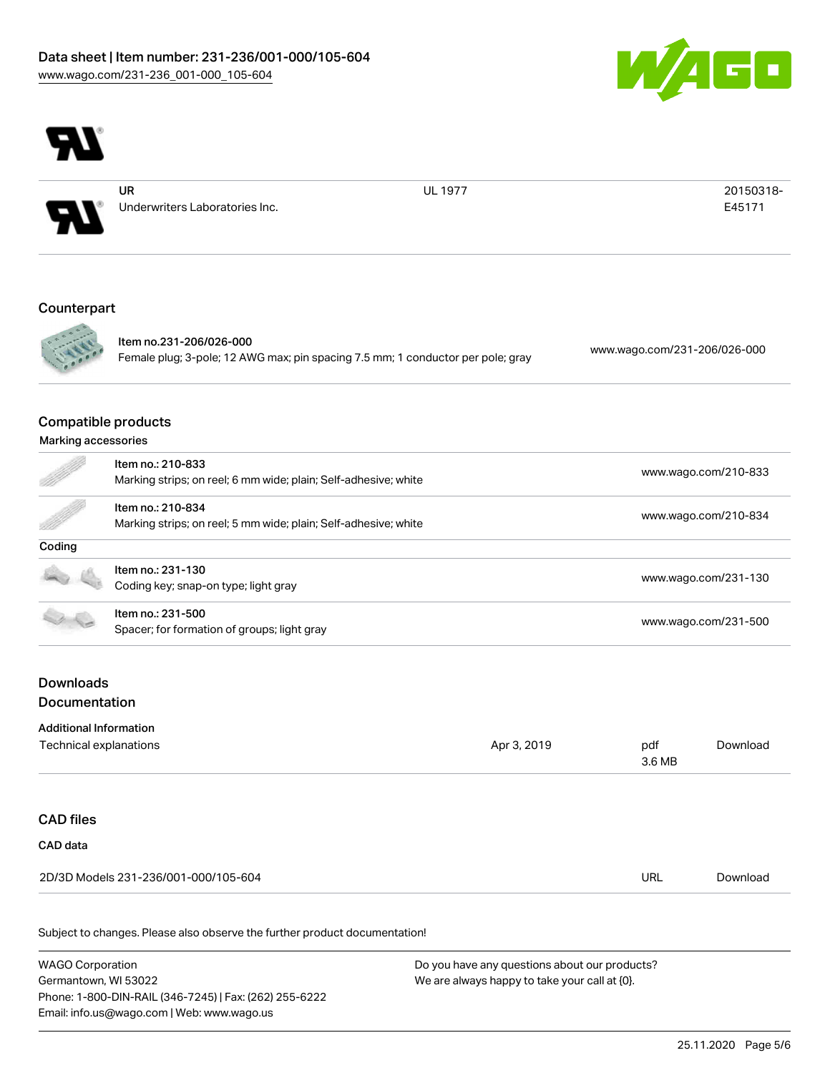



UR Underwriters Laboratories Inc.

UL 1977 20150318-E45171

#### Counterpart



Item no.231-206/026-000 Female plug; 3-pole; 12 AWG max; pin spacing 7.5 mm; 1 conductor per pole; gray [www.wago.com/231-206/026-000](https://www.wago.com/231-206/026-000)

## Compatible products

#### Marking accessories

| T      | Item no.: 210-833<br>Marking strips; on reel; 6 mm wide; plain; Self-adhesive; white | www.wago.com/210-833 |
|--------|--------------------------------------------------------------------------------------|----------------------|
|        | Item no.: 210-834<br>Marking strips; on reel; 5 mm wide; plain; Self-adhesive; white | www.wago.com/210-834 |
| Coding |                                                                                      |                      |
|        | Item no.: 231-130<br>Coding key; snap-on type; light gray                            | www.wago.com/231-130 |
|        | Item no.: 231-500<br>Spacer; for formation of groups; light gray                     | www.wago.com/231-500 |
|        |                                                                                      |                      |

#### **Downloads Documentation**

# Additional Information Technical explanations and policy and policy and policy and policy and policy and policy and policy and policy  $\Delta p$  and policy and policy and policy and policy and policy and policy and policy and policy and policy and po 3.6 MB [Download](https://www.wago.com/us/d/1435602) CAD files CAD data 2D/3D Models 231-236/001-000/105-604 URL [Download](https://www.wago.com/us/d/3D_URLS_231-236_001-000_105-604)

| WAGO Corporation                                       | Do you have any questions about our products? |
|--------------------------------------------------------|-----------------------------------------------|
| Germantown, WI 53022                                   | We are always happy to take your call at {0}. |
| Phone: 1-800-DIN-RAIL (346-7245)   Fax: (262) 255-6222 |                                               |
| Email: info.us@wago.com   Web: www.wago.us             |                                               |